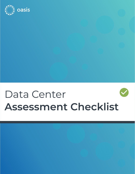

## Data Center **Assessment Checklist**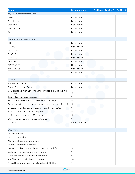| <b>Feature</b>                                                            | Recommended      | Facility A Facility B Facility C |  |
|---------------------------------------------------------------------------|------------------|----------------------------------|--|
| <b>My Business Requirements</b>                                           |                  |                                  |  |
| Legal                                                                     | Dependent        |                                  |  |
| Regulatory                                                                | Dependent        |                                  |  |
| Statutory                                                                 | Dependent        |                                  |  |
| Contractual                                                               | Dependent        |                                  |  |
| Other                                                                     | Dependent        |                                  |  |
|                                                                           |                  |                                  |  |
| <b>Compliance &amp; Certifications</b>                                    |                  |                                  |  |
| <b>HIPAA</b>                                                              | Dependent        |                                  |  |
| PCI-DSS                                                                   | Dependent        |                                  |  |
| <b>NIST Cloud</b>                                                         | Dependent        |                                  |  |
| SSAE-16                                                                   | Dependent        |                                  |  |
| <b>ISAE-3402</b>                                                          | Dependent        |                                  |  |
| <b>ISO 27001</b>                                                          | Dependent        |                                  |  |
| <b>NIST 800-53</b>                                                        | Dependent        |                                  |  |
| NIST 800-53                                                               | Dependent        |                                  |  |
| <b>ITIL</b>                                                               | Dependent        |                                  |  |
|                                                                           |                  |                                  |  |
| Power                                                                     |                  |                                  |  |
| <b>Total Power Capacity</b>                                               | Dependent        |                                  |  |
| Power Density per Rack                                                    | Dependent        |                                  |  |
| UPS designed with a maintenance bypass, allowing live full<br>replacement | Yes              |                                  |  |
| Two independent substations                                               | Yes              |                                  |  |
| Substation feed dedicated to data center facility                         | Yes              |                                  |  |
| Substations fed by independent sources on the electrical grid             | Yes              |                                  |  |
| Substation feeds enter the property via diverse routes                    | Yes              |                                  |  |
| Each UPS has an A and B utility feed                                      | Yes              |                                  |  |
| Maintenance bypass is UPS protected                                       | Yes              |                                  |  |
| Diesel fuel onsite underground storage                                    | Yes              |                                  |  |
| Uptime                                                                    | 99.99% or higher |                                  |  |
|                                                                           |                  |                                  |  |
| <b>Structure</b>                                                          |                  |                                  |  |
| Square footage                                                            |                  |                                  |  |
| Number of stories                                                         |                  |                                  |  |
| Number of truck, shipping bays                                            |                  |                                  |  |
| Number of freight elevators                                               |                  |                                  |  |
| Data center is a master-planned, purpose-built facility                   | Yes              |                                  |  |
| Walls built to withstand 215 MPH wind                                     | Yes              |                                  |  |
| Walls have at least 6 inches of concrete                                  | Yes              |                                  |  |
| Roof is at least 6.5 inches of concrete thick                             | Yes              |                                  |  |
| Raised floor point load capacity at least 5,000 lbs                       | Yes              |                                  |  |

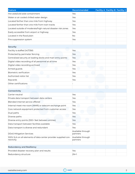| <b>Feature</b>                                                              | Recommended                   | Facility A Facility B Facility C |  |
|-----------------------------------------------------------------------------|-------------------------------|----------------------------------|--|
| Hot aisle/cold aisle containment                                            | Yes                           |                                  |  |
| Water or air cooled chilled water design                                    | Yes                           |                                  |  |
| Located farther than one mile from highway                                  | Yes                           |                                  |  |
| Located farther than one mile from train tracks                             | Yes                           |                                  |  |
| Located outside of moderate/high natural disaster risk zones                | Yes                           |                                  |  |
| Easily accessible from airport or highway                                   | Yes                           |                                  |  |
| Located in the flood plain                                                  | <b>No</b>                     |                                  |  |
| Fire suppression system                                                     | Yes                           |                                  |  |
|                                                                             |                               |                                  |  |
| <b>Security</b>                                                             |                               |                                  |  |
| Facility is staffed 24/7/365                                                | Yes                           |                                  |  |
| Protected by perimeter fencing                                              | Yes                           |                                  |  |
| Centralized security at loading docks and main entry points                 | Yes                           |                                  |  |
| Digital video recording of all personnel at all time                        | Yes                           |                                  |  |
| Digital video recording archived                                            | Yes                           |                                  |  |
| Armed guards                                                                | Yes                           |                                  |  |
| Biometric verification                                                      | Yes                           |                                  |  |
| Authorized visitor list                                                     | Yes                           |                                  |  |
| Keycards                                                                    | Yes                           |                                  |  |
| Other certifications                                                        |                               |                                  |  |
|                                                                             |                               |                                  |  |
| Connectivity                                                                |                               |                                  |  |
| Carrier-neutral                                                             | Yes                           |                                  |  |
| Private data transport between data centers                                 | Yes                           |                                  |  |
| Blended internet service offered                                            | Yes                           |                                  |  |
| Internal meet-me-room (MMR) or telecom exchange point                       | Yes                           |                                  |  |
| Core network equipment protected from customer access                       | Yes                           |                                  |  |
| Dual paths                                                                  | Yes                           |                                  |  |
| Diverse paths                                                               | Yes                           |                                  |  |
| Diverse entry points (300+ feet between entries)                            | Yes                           |                                  |  |
| Data transport between facilities available                                 | Yes                           |                                  |  |
| Data transport is diverse and redundant                                     | Yes                           |                                  |  |
| <b>DDoS Mitigation Services</b>                                             | Available through<br>partners |                                  |  |
| 100% SLA on all elements of data center provider supplied con-<br>nectivity | Available through<br>partners |                                  |  |
|                                                                             |                               |                                  |  |
| <b>Redundancy and Resiliency</b>                                            |                               |                                  |  |
| Provided disaster recovery plan and results                                 | Yes                           |                                  |  |
| Redundancy structure                                                        | $2N+1$                        |                                  |  |

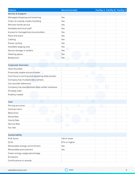| <b>Feature</b>                                  | Recommended   | <b>Facility A Facility B Facility C</b> |  |
|-------------------------------------------------|---------------|-----------------------------------------|--|
| <b>Service &amp; Support</b>                    |               |                                         |  |
| Managed shipping and receiving                  | Yes           |                                         |  |
| Chain of custody media handling                 | Yes           |                                         |  |
| Remote hands service                            | Yes           |                                         |  |
| Available technical staff                       | Yes           |                                         |  |
| Access to managed service providers             | Yes           |                                         |  |
| Rack and stack                                  | Yes           |                                         |  |
| Cabling                                         | Yes           |                                         |  |
| Power cycling                                   | Yes           |                                         |  |
| Available staging area                          | Yes           |                                         |  |
| Secure storage or lockers                       | Yes           |                                         |  |
| Meeting space                                   | Yes           |                                         |  |
| Breakroom                                       | Yes           |                                         |  |
|                                                 |               |                                         |  |
| <b>Corporate Overview</b>                       |               |                                         |  |
| Years founded                                   |               |                                         |  |
| Financially stable and profitable               |               |                                         |  |
| Core focus is owning and operating data centers |               |                                         |  |
| Company has multiple data centers               |               |                                         |  |
| Can provide references                          |               |                                         |  |
| Company has standardized data center hardware   |               |                                         |  |
| Privately held                                  |               |                                         |  |
| Publicly traded                                 |               |                                         |  |
|                                                 |               |                                         |  |
| Cost                                            |               |                                         |  |
| Pricing structure                               |               |                                         |  |
| Contract term                                   |               |                                         |  |
| Base price                                      |               |                                         |  |
| Setup fees                                      |               |                                         |  |
| Hourly fees                                     |               |                                         |  |
| Service fees                                    |               |                                         |  |
| Tax rate                                        |               |                                         |  |
|                                                 |               |                                         |  |
| Sustainability                                  |               |                                         |  |
| <b>PUE Score</b>                                | 1.59 or lower |                                         |  |
| <b>DCIE</b>                                     | 67% or higher |                                         |  |
| Renewable energy commitment                     | Yes           |                                         |  |
| Renewable procurement                           | Yes           |                                         |  |
| Green energy usage percentage                   |               |                                         |  |
| Emissions                                       |               |                                         |  |
| Certifications or awards                        |               |                                         |  |